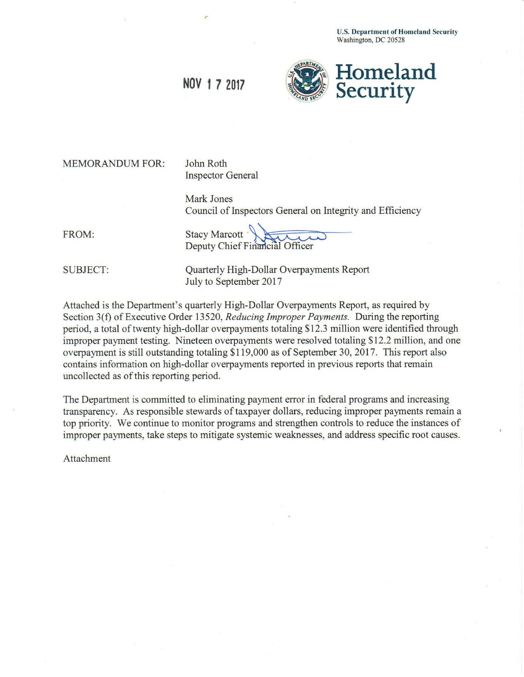**U.S. Department of Homeland Security** Washington, DC 20528



NOV 1 7 2017

**MEMORANDUM FOR:** 

John Roth **Inspector General** 

Mark Jones Council of Inspectors General on Integrity and Efficiency

FROM:

Stacy Marcott Deputy Chief Financial Officer

**SUBJECT:** 

**Quarterly High-Dollar Overpayments Report** July to September 2017

Attached is the Department's quarterly High-Dollar Overpayments Report, as required by Section 3(f) of Executive Order 13520, Reducing Improper Payments. During the reporting period, a total of twenty high-dollar overpayments totaling \$12.3 million were identified through improper payment testing. Nineteen overpayments were resolved totaling \$12.2 million, and one overpayment is still outstanding totaling \$119,000 as of September 30, 2017. This report also contains information on high-dollar overpayments reported in previous reports that remain uncollected as of this reporting period.

The Department is committed to eliminating payment error in federal programs and increasing transparency. As responsible stewards of taxpayer dollars, reducing improper payments remain a top priority. We continue to monitor programs and strengthen controls to reduce the instances of improper payments, take steps to mitigate systemic weaknesses, and address specific root causes.

Attachment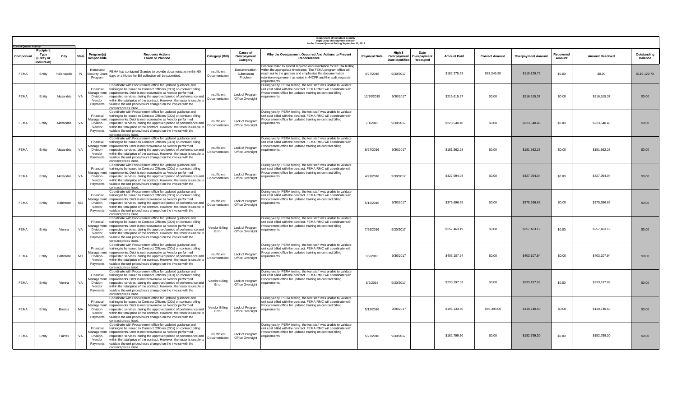| <b>Current Quarter Activity</b> |                                               |              |              |                                                            |                                                                                                                                                                                                                                                                                                                                                                                                                                                             |                               |                                            | Department of Homeland Security<br>High-Dollar Overpayments Report<br>for the Current Quarter Ending September 30, 2017                                                                                                                                                            |                     |                                           |                                |                    |                       |                           |                     |                        |                               |
|---------------------------------|-----------------------------------------------|--------------|--------------|------------------------------------------------------------|-------------------------------------------------------------------------------------------------------------------------------------------------------------------------------------------------------------------------------------------------------------------------------------------------------------------------------------------------------------------------------------------------------------------------------------------------------------|-------------------------------|--------------------------------------------|------------------------------------------------------------------------------------------------------------------------------------------------------------------------------------------------------------------------------------------------------------------------------------|---------------------|-------------------------------------------|--------------------------------|--------------------|-----------------------|---------------------------|---------------------|------------------------|-------------------------------|
| Componer                        | Recipient<br>Type<br>(Entity or<br>Individual | City         | <b>State</b> | Program(s)<br>Responsible                                  | <b>Recovery Actions</b><br><b>Taken or Planned</b>                                                                                                                                                                                                                                                                                                                                                                                                          | <b>Category (Bill)</b>        | <b>Cause of</b><br>Overpayment<br>Category | Why the Overpayment Occurred And Actions to Prevent<br>Reoccurrence                                                                                                                                                                                                                | <b>Payment Date</b> | High \$<br>Overpayment<br>Date Identified | Date<br>Overpaymen<br>Recouped | <b>Amount Paid</b> | <b>Correct Amount</b> | <b>Overpayment Amount</b> | Recovered<br>Amount | <b>Amount Resolved</b> | Outstanding<br><b>Balance</b> |
| FEMA                            | Entity                                        | Indianapolis | IN           | Homeland<br><b>Security Grant</b><br>Program               | FEMA has contacted Grantee to provide documentation within 60<br>days or a Notice for Bill collection will be submitted.                                                                                                                                                                                                                                                                                                                                    | Insufficient<br>Documentation | Documentation<br>Submission<br>Problem     | Grantee failed to submit required documentation for IPERA testing<br>within the appropriate timeframe. The FEMA program office will<br>reach out to the grantee and emphasize the documentation<br>retention requirement as noted in 44CFR and the audit requests<br>requirements. | 4/27/2016           | 9/30/2017                                 |                                | \$182,375.63       | \$63,245.90           | \$119,129.73              | \$0.00              | \$0.00                 | \$119,129.73                  |
| FEMA                            | Entity                                        | Alexandria   | VA           | Financial<br>Management<br>Division-<br>Vendor<br>Payments | Coordinate with Procurement office for updated guidance and<br>training to be issued to Contract Officers (COs) on contract billing<br>requirements. Debt is not recoverable as Vendor performed<br>requested services, during the approved period of performance and<br>within the total price of the contract. However, the tester is unable to<br>validate the unit prices/hours charged on the invoice with the<br>contract prices listed.              | Insufficient<br>Documentation | Lack of Program<br>Office Oversight        | During yearly IPERA testing, the test staff was unable to validate<br>unit cost billed with the contract. FEMA RMC will coordinate with<br>Procurement office for updated training on contract billing<br>requirements.                                                            | 12/30/2015          | 9/30/2017                                 |                                | \$216,615.37       | \$0.00                | \$216,615.37              | \$0.00              | \$216,615.37           | \$0.00                        |
| <b>FEMA</b>                     | Entity                                        | Alexandria   | VA           | Financial<br>Division-<br>Vendor<br>Payments               | Coordinate with Procurement office for updated guidance and<br>training to be issued to Contract Officers (COs) on contract billing<br>Management requirements. Debt is not recoverable as Vendor performed<br>requested services, during the approved period of performance and<br>within the total price of the contract. However, the tester is unable to<br>validate the unit prices/hours charged on the invoice with the<br>contract prices listed.   | Insufficient<br>Documentation | Lack of Program<br>Office Oversight        | During yearly IPERA testing, the test staff was unable to validate<br>unit cost billed with the contract. FEMA RMC will coordinate with<br>Procurement office for updated training on contract billing<br>requirements.                                                            | 7/1/2016            | 9/30/2017                                 |                                | \$223,540.40       | \$0.00                | \$223,540.40              | \$0.00              | \$223,540.40           | \$0.00                        |
| FEMA                            | Entity                                        | Alexandria   | VA           | Financial<br>Management<br>Division-<br>Vendor<br>Payments | Coordinate with Procurement office for updated guidance and<br>training to be issued to Contract Officers (COs) on contract billing<br>requirements. Debt is not recoverable as Vendor performed<br>requested services, during the approved period of performance and<br>within the total price of the contract. However, the tester is unable to<br>validate the unit prices/hours charged on the invoice with the<br>contract prices listed.              | Insufficient<br>Documentation | Lack of Program<br>Office Oversight        | During yearly IPERA testing, the test staff was unable to validate<br>unit cost billed with the contract. FEMA RMC will coordinate with<br>Procurement office for updated training on contract billing<br>requirements.                                                            | 9/27/2016           | 9/30/2017                                 |                                | \$181,562.28       | \$0.00                | \$181,562.28              | \$0.00              | \$181,562.28           | \$0.00                        |
| <b>FEMA</b>                     | Entity                                        | Alexandria   | VA           | Financial<br>Management<br>Division-<br>Vendor<br>Payments | Coordinate with Procurement office for updated guidance and<br>training to be issued to Contract Officers (COs) on contract billing<br>requirements. Debt is not recoverable as Vendor performed<br>requested services, during the approved period of performance and<br>within the total price of the contract. However, the tester is unable to<br>validate the unit prices/hours charged on the invoice with the<br>contract prices listed.              | Insufficient<br>Documentation | Lack of Program<br>Office Oversight        | During yearly IPERA testing, the test staff was unable to validate<br>unit cost billed with the contract. FEMA RMC will coordinate with<br>Procurement office for updated training on contract billing<br>requirements.                                                            | 4/29/2016           | 9/30/2017                                 |                                | \$427,994.04       | \$0.00                | \$427,994.04              | \$0.00              | \$427,994.04           | \$0.00                        |
| FEMA                            | Entity                                        | Baltimore    | MD           | Financial<br>Division-<br>Vendor<br>Payments               | Coordinate with Procurement office for updated guidance and<br>training to be issued to Contract Officers (COs) on contract billing<br>Management requirements. Debt is not recoverable as Vendor performed<br>requested services, during the approved period of performance and<br>within the total price of the contract. However, the tester is unable to<br>validate the unit prices/hours charged on the invoice with the<br>contract prices listed.   | Insufficient<br>Documentation | Lack of Program<br>Office Oversight        | During yearly IPERA testing, the test staff was unable to validate<br>unit cost billed with the contract. FEMA RMC will coordinate with<br>Procurement office for updated training on contract billing<br>requirements.                                                            | 5/16/2016           | 9/30/2017                                 |                                | \$375,696.69       | \$0.00                | \$375,696.69              | \$0.00              | \$375,696,69           | \$0.00                        |
| <b>FEMA</b>                     | Entity                                        | Vienna       | VA           | Financial<br>Division-<br>Vendor<br>Payments               | Coordinate with Procurement office for updated guidance and<br>training to be issued to Contract Officers (COs) on contract billing<br>Management   requirements. Debt is not recoverable as Vendor performed<br>requested services, during the approved period of performance and<br>within the total price of the contract. However, the tester is unable to<br>validate the unit prices/hours charged on the invoice with the<br>contract prices listed. | Vendor Billing<br>Error       | Lack of Program<br>Office Oversight        | During yearly IPERA testing, the test staff was unable to validate<br>unit cost billed with the contract. FEMA RMC will coordinate with<br>Procurement office for updated training on contract billing<br>requirements.                                                            | 7/26/2016           | 9/30/2017                                 |                                | \$257,463.19       | \$0.00                | \$257,463.19              | \$0.00              | \$257,463.19           | \$0.00                        |
| FEMA                            | Entity                                        | Baltimore    | <b>MD</b>    | Financial<br>Management<br>Division-<br>Vendor<br>Payments | Coordinate with Procurement office for updated guidance and<br>training to be issued to Contract Officers (COs) on contract billing<br>requirements. Debt is not recoverable as Vendor performed<br>requested services, during the approved period of performance and<br>within the total price of the contract. However, the tester is unable to<br>validate the unit prices/hours charged on the invoice with the<br>contract prices listed.              | Insufficient<br>Documentation | Lack of Program<br>Office Oversight        | During yearly IPERA testing, the test staff was unable to validate<br>unit cost billed with the contract. FEMA RMC will coordinate with<br>Procurement office for updated training on contract billing<br>requirements.                                                            | 9/2/2016            | 9/30/2017                                 |                                | \$403,107.94       | \$0.00                | \$403,107.94              | \$0.00              | \$403,107.94           | \$0.00                        |
| FEMA                            | Entity                                        | Vienna       | VA           | Financial<br>Division-<br>Vendor<br>Payments               | Coordinate with Procurement office for updated guidance and<br>training to be issued to Contract Officers (COs) on contract billing<br>Management requirements. Debt is not recoverable as Vendor performed<br>requested services, during the approved period of performance and<br>within the total price of the contract. However, the tester is unable to<br>validate the unit prices/hours charged on the invoice with the<br>contract prices listed.   | Vendor Billing<br>Error       | Lack of Program<br>Office Oversight        | During yearly IPERA testing, the test staff was unable to validate<br>unit cost billed with the contract. FEMA RMC will coordinate with<br>Procurement office for updated training on contract billing<br>requirements.                                                            | 9/2/2016            | 9/30/2017                                 |                                | \$233,197.03       | \$0.00                | \$233,197.03              | \$0.00              | \$233,197.03           | \$0.00                        |
| <b>FEMA</b>                     | Entity                                        | Bilerica     | MA           | Financial<br>Management<br>Division-<br>Vendor<br>Payments | Coordinate with Procurement office for updated guidance and<br>training to be issued to Contract Officers (COs) on contract billing<br>requirements. Debt is not recoverable as Vendor performed<br>requested services, during the approved period of performance and<br>within the total price of the contract. However, the tester is unable to<br>validate the unit prices/hours charged on the invoice with the<br>contract prices listed.              | Vendor Billing<br>Error       | Lack of Program<br>Office Oversight        | During yearly IPERA testing, the test staff was unable to validate<br>unit cost billed with the contract. FEMA RMC will coordinate with<br>Procurement office for updated training on contract billing<br>requirements.                                                            | 5/13/2016           | 9/30/2017                                 |                                | \$196,133.50       | \$85,393.00           | \$110,740.50              | \$0.00              | \$110,740.50           | \$0.00                        |
| FEMA                            | Entity                                        | Fairfax      | VA           | Financial<br>Management<br>Division-<br>Vendor<br>Payments | Coordinate with Procurement office for updated guidance and<br>training to be issued to Contract Officers (COs) on contract billing<br>requirements. Debt is not recoverable as Vendor performed<br>requested services, during the approved period of performance and<br>within the total price of the contract. However, the tester is unable to<br>validate the unit prices/hours charged on the invoice with the<br>contract prices listed.              | Insufficient<br>Documentation | Lack of Program<br>Office Oversight        | During yearly IPERA testing, the test staff was unable to validate<br>unit cost billed with the contract. FEMA RMC will coordinate with<br>Procurement office for updated training on contract billing<br>requirements.                                                            | 5/27/2016           | 9/30/2017                                 |                                | \$182,799.30       | \$0.00                | \$182,799.30              | \$0.00              | \$182,799.30           | \$0.00                        |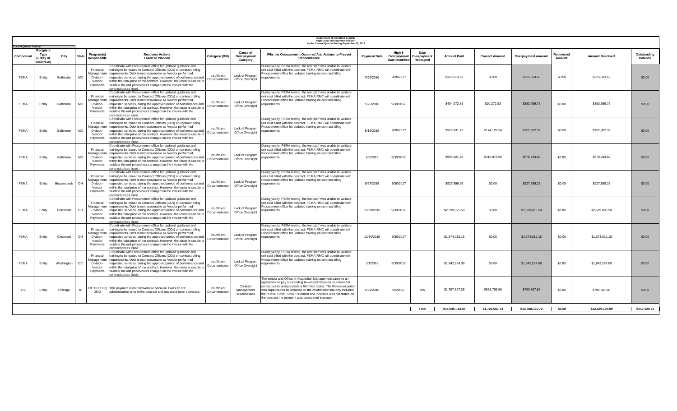|             | <b>Department of Homeland Security</b><br><b>High-Dollar Overpayments Report</b><br>for the Current Quarter Ending September 30, 2017<br><b>Current Quarter Activity</b> |                |              |                                                            |                                                                                                                                                                                                                                                                                                                                                                                                                                                           |                               |                                            |                                                                                                                                                                                                                                                                                                                                                                                                         |                     |                                           |                                 |                    |                       |                           |                      |                        |                               |
|-------------|--------------------------------------------------------------------------------------------------------------------------------------------------------------------------|----------------|--------------|------------------------------------------------------------|-----------------------------------------------------------------------------------------------------------------------------------------------------------------------------------------------------------------------------------------------------------------------------------------------------------------------------------------------------------------------------------------------------------------------------------------------------------|-------------------------------|--------------------------------------------|---------------------------------------------------------------------------------------------------------------------------------------------------------------------------------------------------------------------------------------------------------------------------------------------------------------------------------------------------------------------------------------------------------|---------------------|-------------------------------------------|---------------------------------|--------------------|-----------------------|---------------------------|----------------------|------------------------|-------------------------------|
| Component   | Recipient<br>Type<br>(Entity or<br>Individual)                                                                                                                           | City           | <b>State</b> | Program(s)<br>Responsible                                  | <b>Recovery Actions</b><br><b>Taken or Planned</b>                                                                                                                                                                                                                                                                                                                                                                                                        | Category (Bill)               | <b>Cause of</b><br>Overpayment<br>Category | Why the Overpayment Occurred And Actions to Prevent<br>Reoccurrence                                                                                                                                                                                                                                                                                                                                     | <b>Payment Date</b> | High \$<br>Overpayment<br>Date Identified | Date<br>Overpayment<br>Recouped | <b>Amount Paid</b> | <b>Correct Amount</b> | <b>Overpayment Amount</b> | रेecovered<br>Amount | <b>Amount Resolved</b> | Outstanding<br><b>Balance</b> |
| <b>FEMA</b> | Entity                                                                                                                                                                   | Bethesda       | MD           | Financial<br>Management<br>Division-<br>Vendor<br>Payments | Coordinate with Procurement office for updated guidance and<br>training to be issued to Contract Officers (COs) on contract billing<br>requirements. Debt is not recoverable as Vendor performed<br>requested services, during the approved period of performance and<br>within the total price of the contract. However, the tester is unable to<br>validate the unit prices/hours charged on the invoice with the<br>contract prices listed.            | Insufficient<br>Documentation | Lack of Program<br>Office Oversight        | During yearly IPERA testing, the test staff was unable to validate<br>unit cost billed with the contract. FEMA RMC will coordinate with<br>Procurement office for updated training on contract billing<br>requirements.                                                                                                                                                                                 | 3/29/2016           | 9/30/2017                                 |                                 | \$325,813,63       | \$0.00                | \$325,813,63              | \$0.00               | \$325,813,63           | \$0.00                        |
| <b>FEMA</b> | Entity                                                                                                                                                                   | Baltimore      | <b>MD</b>    | Financial<br>Management<br>Division-<br>Vendor<br>Payments | Coordinate with Procurement office for updated guidance and<br>training to be issued to Contract Officers (COs) on contract billing<br>requirements. Debt is not recoverable as Vendor performed<br>requested services, during the approved period of performance and<br>within the total price of the contract. However, the tester is unable to<br>validate the unit prices/hours charged on the invoice with the<br>contract prices listed.            | Insufficient<br>Documentation | Lack of Program<br>Office Oversight        | During yearly IPERA testing, the test staff was unable to validate<br>unit cost billed with the contract. FEMA RMC will coordinate with<br>Procurement office for updated training on contract billing<br>requirements.                                                                                                                                                                                 | 5/25/2016           | 9/30/2017                                 |                                 | \$404.272.68       | \$20.272.93           | \$383,999.75              | \$0.00               | \$383,999.75           | \$0.00                        |
| <b>FEMA</b> | Entity                                                                                                                                                                   | Baltimore      | <b>MD</b>    | Financial<br>Division-<br>Vendor<br>Payments               | Coordinate with Procurement office for updated guidance and<br>training to be issued to Contract Officers (COs) on contract billing<br>Management requirements. Debt is not recoverable as Vendor performed<br>requested services, during the approved period of performance and<br>within the total price of the contract. However, the tester is unable to<br>validate the unit prices/hours charged on the invoice with the<br>contract prices listed. | Insufficient<br>Documentation | Lack of Program<br>Office Oversight        | During yearly IPERA testing, the test staff was unable to validate<br>unit cost billed with the contract. FEMA RMC will coordinate with<br>Procurement office for updated training on contract billing<br>requirements.                                                                                                                                                                                 | 5/16/2016           | 9/30/2017                                 |                                 | \$926,931.73       | \$174,129,34          | \$752,802.39              | \$0.00               | \$752,802.39           | \$0.00                        |
| <b>FEMA</b> | Entity                                                                                                                                                                   | Baltimore      | <b>MD</b>    | Financial<br>Division-<br>Vendor<br>Payments               | Coordinate with Procurement office for updated guidance and<br>training to be issued to Contract Officers (COs) on contract billing<br>Management requirements. Debt is not recoverable as Vendor performed<br>requested services, during the approved period of performance and<br>within the total price of the contract. However, the tester is unable to<br>validate the unit prices/hours charged on the invoice with the<br>contract prices listed. | Insufficient<br>Documentation | Lack of Program<br>Office Oversight        | During yearly IPERA testing, the test staff was unable to validate<br>unit cost billed with the contract. FEMA RMC will coordinate with<br>Procurement office for updated training on contract billing<br>equirements.                                                                                                                                                                                  | 6/9/2016            | 9/30/2017                                 |                                 | \$995,821.78       | \$416,876.96          | \$578,944.82              | \$0.00               | \$578,944.82           | \$0.00                        |
| <b>FEMA</b> | Entity                                                                                                                                                                   | Beavercreek OH |              | Financial<br>Management<br>Division-<br>Vendor<br>Payments | Coordinate with Procurement office for updated guidance and<br>training to be issued to Contract Officers (COs) on contract billing<br>requirements. Debt is not recoverable as Vendor performed<br>requested services, during the approved period of performance and<br>within the total price of the contract. However, the tester is unable to<br>validate the unit prices/hours charged on the invoice with the<br>contract prices listed.            | Insufficient<br>Documentation | Lack of Program<br>Office Oversight        | During yearly IPERA testing, the test staff was unable to validate<br>unit cost billed with the contract. FEMA RMC will coordinate with<br>Procurement office for updated training on contract billing<br>equirements.                                                                                                                                                                                  | 9/27/2016           | 9/30/2017                                 |                                 | \$927,899.26       | \$0.00                | \$927,899.26              | \$0.00               | \$927,899.26           | \$0.00                        |
| <b>FEMA</b> | Entity                                                                                                                                                                   | Cincinnati     | OH           | Financial<br>Management<br>Division-<br>Vendor<br>Payments | Coordinate with Procurement office for updated guidance and<br>training to be issued to Contract Officers (COs) on contract billing<br>requirements. Debt is not recoverable as Vendor performed<br>requested services, during the approved period of performance and<br>within the total price of the contract. However, the tester is unable to<br>validate the unit prices/hours charged on the invoice with the<br>ontract prices listed.             | Insufficient<br>Documentation | Lack of Program<br>Office Oversight        | During yearly IPERA testing, the test staff was unable to validate<br>unit cost billed with the contract. FEMA RMC will coordinate with<br>Procurement office for updated training on contract billing<br>equirements                                                                                                                                                                                   | 10/30/2015          | 9/30/2017                                 |                                 | \$2,599,895.50     | \$0.00                | \$2,599,895.50            | \$0.00               | \$2,599,895.50         | \$0.00                        |
| <b>FEMA</b> | Entity                                                                                                                                                                   | Cincinnati     | OH           | Financial<br>Management<br>Division-<br>Vendor<br>Payments | Coordinate with Procurement office for updated guidance and<br>training to be issued to Contract Officers (COs) on contract billing<br>requirements. Debt is not recoverable as Vendor performed<br>requested services, during the approved period of performance and<br>within the total price of the contract. However, the tester is unable to<br>validate the unit prices/hours charged on the invoice with the<br>contract prices listed.            | Insufficient<br>Documentation | Lack of Program<br>Office Oversight        | During yearly IPERA testing, the test staff was unable to validate<br>unit cost billed with the contract. FEMA RMC will coordinate with<br>Procurement office for updated training on contract billing<br>requirements.                                                                                                                                                                                 | 10/30/2015          | 9/30/2017                                 |                                 | \$1,374,012.15     | \$0.00                | \$1,374,012.15            | \$0.00               | \$1,374,012.15         | \$0.00                        |
| FEMA        | Entity                                                                                                                                                                   | Washington     | DC           | Financial<br>Management<br>Division-<br>Vendor<br>Payments | Coordinate with Procurement office for updated guidance and<br>training to be issued to Contract Officers (COs) on contract billing<br>requirements. Debt is not recoverable as Vendor performed<br>requested services, during the approved period of performance and<br>within the total price of the contract. However, the tester is unable to<br>validate the unit prices/hours charged on the invoice with the<br>contract prices listed.            | Insufficient<br>Documentation | Lack of Program<br>Office Oversight        | During yearly IPERA testing, the test staff was unable to validate<br>unit cost billed with the contract. FEMA RMC will coordinate with<br>Procurement office for updated training on contract billing<br>equirements.                                                                                                                                                                                  | 3/1/2016            | 9/30/2017                                 |                                 | \$1,842,224.09     | \$0.00                | \$1,842,224.09            | \$0.00               | \$1,842,224.09         | \$0.00                        |
| ICE         | Entity                                                                                                                                                                   | Chicago        |              | DMD                                                        | ICE DRO HQ This payment is not recoverable because it was an ICE<br>administrative error in the contract and has since been corrected.                                                                                                                                                                                                                                                                                                                    | Insufficient<br>Documentation | Contract<br>Management<br>Weaknesses       | The vendor and Office of Acquisition Management came to an<br>agreement to pay outstanding travel and retention incentives for<br>contactors traveling outside a 50 miles radius. The Retention portion<br>was supposed to be included on the modification but only included<br>the "Travel Cost". Since Retention and Incentive was not stated on<br>the contract the payment was considered improper. | 5/23/2016           | 9/5/2017                                  | N/A                             | \$1,757,657.26     | \$966,769.60          | \$790,887.66              | \$0.00               | \$790,887.66           | \$0.00                        |
|             |                                                                                                                                                                          |                |              |                                                            |                                                                                                                                                                                                                                                                                                                                                                                                                                                           |                               |                                            |                                                                                                                                                                                                                                                                                                                                                                                                         |                     |                                           | Total                           | \$14.035.013.45    | \$1.726.687.73        | \$12,308,325,72           | \$0.00               | \$12,189,195.99        | \$119,129.73                  |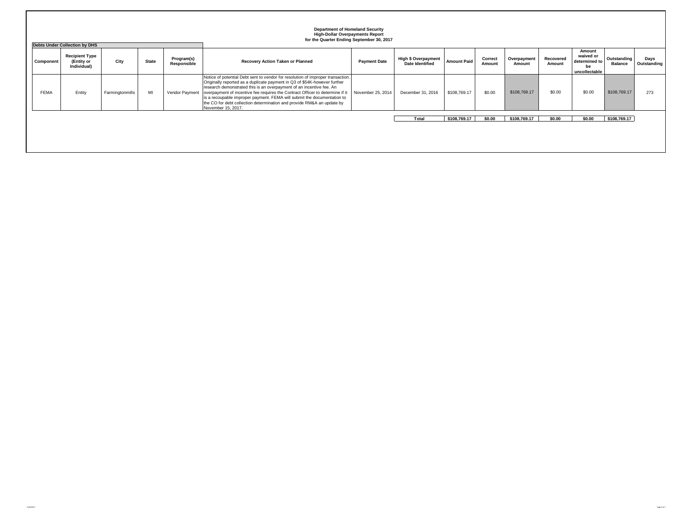|             | <b>Department of Homeland Security</b><br><b>High-Dollar Overpayments Report</b><br>for the Quarter Ending September 30, 2017<br><b>Debts Under Collection by DHS</b> |                 |              |                           |                                                                                                                                                                                                                                                                                                                                                                                                                                                                                                  |                     |                                               |                    |                   |                       |                     |                                                             |                               |                     |
|-------------|-----------------------------------------------------------------------------------------------------------------------------------------------------------------------|-----------------|--------------|---------------------------|--------------------------------------------------------------------------------------------------------------------------------------------------------------------------------------------------------------------------------------------------------------------------------------------------------------------------------------------------------------------------------------------------------------------------------------------------------------------------------------------------|---------------------|-----------------------------------------------|--------------------|-------------------|-----------------------|---------------------|-------------------------------------------------------------|-------------------------------|---------------------|
| Component   | <b>Recipient Type</b><br>(Entity or<br>Individual)                                                                                                                    | City            | <b>State</b> | Program(s)<br>Responsible | Recovery Action Taken or Planned                                                                                                                                                                                                                                                                                                                                                                                                                                                                 | <b>Payment Date</b> | High \$ Overpayment<br><b>Date Identified</b> | <b>Amount Paid</b> | Correct<br>Amount | Overpayment<br>Amount | Recovered<br>Amount | Amount<br>waived or<br>determined to<br>be<br>uncollectable | Outstanding<br><b>Balance</b> | Days<br>Outstanding |
| <b>FEMA</b> | Entity                                                                                                                                                                | Farmingtonmills | MI           | Vendor Payment            | Notice of potential Debt sent to vendor for resolution of improper transaction.<br>Originally reported as a duplicate payment in Q3 of \$54K-however further<br>research demonstrated this is an overpayment of an incentive fee. An<br>overpayment of incentive fee requires the Contract Officer to determine if it<br>is a recoupable improper payment. FEMA will submit the documentation to<br>the CO for debt collection determination and provide RM&A an update by<br>November 15, 2017. | November 25, 2014   | December 31, 2016                             | \$108,769.17       | \$0.00            | \$108,769.17          | \$0.00              | \$0.00                                                      | \$108,769.17                  | 273                 |
|             |                                                                                                                                                                       |                 |              |                           |                                                                                                                                                                                                                                                                                                                                                                                                                                                                                                  |                     | Total                                         | \$108,769.17       | \$0.00            | \$108,769.17          | \$0.00              | \$0.00                                                      | \$108,769.17                  |                     |
|             |                                                                                                                                                                       |                 |              |                           |                                                                                                                                                                                                                                                                                                                                                                                                                                                                                                  |                     |                                               |                    |                   |                       |                     |                                                             |                               |                     |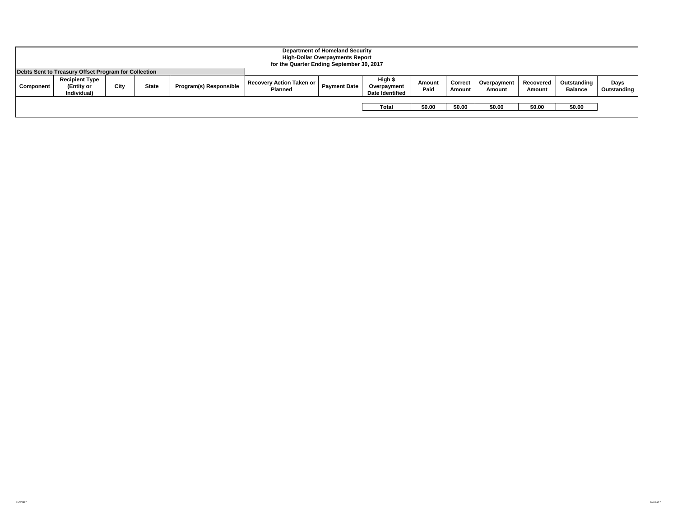|           | <b>Department of Homeland Security</b><br><b>High-Dollar Overpayments Report</b><br>for the Quarter Ending September 30, 2017 |      |              |                        |                                            |                     |                                                  |                |                   |                       |                     |                               |                     |
|-----------|-------------------------------------------------------------------------------------------------------------------------------|------|--------------|------------------------|--------------------------------------------|---------------------|--------------------------------------------------|----------------|-------------------|-----------------------|---------------------|-------------------------------|---------------------|
|           | Debts Sent to Treasury Offset Program for Collection                                                                          |      |              |                        |                                            |                     |                                                  |                |                   |                       |                     |                               |                     |
| Component | <b>Recipient Type</b><br>(Entity or<br>Individual)                                                                            | City | <b>State</b> | Program(s) Responsible | Recovery Action Taken or<br><b>Planned</b> | <b>Payment Date</b> | High \$<br>Overpayment<br><b>Date Identified</b> | Amount<br>Paid | Correct<br>Amount | Overpayment<br>Amount | Recovered<br>Amount | Outstanding<br><b>Balance</b> | Days<br>Outstanding |
|           |                                                                                                                               |      |              |                        |                                            |                     | Total                                            | \$0.00         | \$0.00            | \$0.00                | \$0.00              | \$0.00                        |                     |